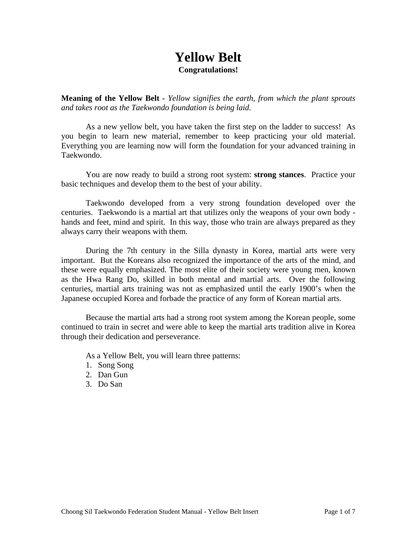### **Yellow Belt Congratulations!**

**Meaning of the Yellow Belt** - *Yellow signifies the earth, from which the plant sprouts and takes root as the Taekwondo foundation is being laid.*

 As a new yellow belt, you have taken the first step on the ladder to success! As you begin to learn new material, remember to keep practicing your old material. Everything you are learning now will form the foundation for your advanced training in Taekwondo.

 You are now ready to build a strong root system: **strong stances**. Practice your basic techniques and develop them to the best of your ability.

 Taekwondo developed from a very strong foundation developed over the centuries. Taekwondo is a martial art that utilizes only the weapons of your own body hands and feet, mind and spirit. In this way, those who train are always prepared as they always carry their weapons with them.

During the 7th century in the Silla dynasty in Korea, martial arts were very important. But the Koreans also recognized the importance of the arts of the mind, and these were equally emphasized. The most elite of their society were young men, known as the Hwa Rang Do, skilled in both mental and martial arts. Over the following centuries, martial arts training was not as emphasized until the early 1900's when the Japanese occupied Korea and forbade the practice of any form of Korean martial arts.

Because the martial arts had a strong root system among the Korean people, some continued to train in secret and were able to keep the martial arts tradition alive in Korea through their dedication and perseverance.

As a Yellow Belt, you will learn three patterns:

- 1. Song Song
- 2. Dan Gun
- 3. Do San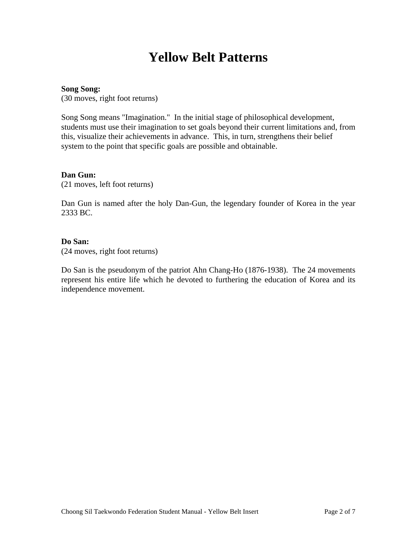## **Yellow Belt Patterns**

#### **Song Song:**

(30 moves, right foot returns)

Song Song means "Imagination." In the initial stage of philosophical development, students must use their imagination to set goals beyond their current limitations and, from this, visualize their achievements in advance. This, in turn, strengthens their belief system to the point that specific goals are possible and obtainable.

#### **Dan Gun:**

(21 moves, left foot returns)

Dan Gun is named after the holy Dan-Gun, the legendary founder of Korea in the year 2333 BC.

#### **Do San:**

(24 moves, right foot returns)

Do San is the pseudonym of the patriot Ahn Chang-Ho (1876-1938). The 24 movements represent his entire life which he devoted to furthering the education of Korea and its independence movement.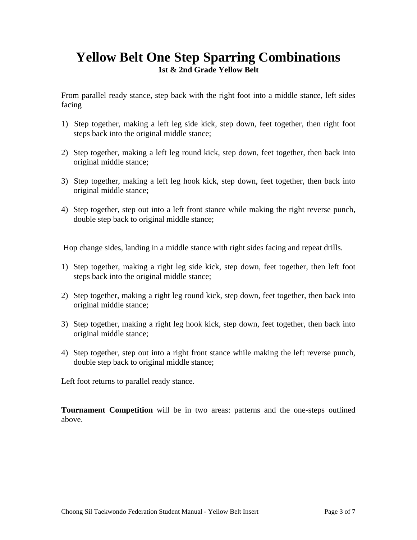### **Yellow Belt One Step Sparring Combinations 1st & 2nd Grade Yellow Belt**

From parallel ready stance, step back with the right foot into a middle stance, left sides facing

- 1) Step together, making a left leg side kick, step down, feet together, then right foot steps back into the original middle stance;
- 2) Step together, making a left leg round kick, step down, feet together, then back into original middle stance;
- 3) Step together, making a left leg hook kick, step down, feet together, then back into original middle stance;
- 4) Step together, step out into a left front stance while making the right reverse punch, double step back to original middle stance;

Hop change sides, landing in a middle stance with right sides facing and repeat drills.

- 1) Step together, making a right leg side kick, step down, feet together, then left foot steps back into the original middle stance;
- 2) Step together, making a right leg round kick, step down, feet together, then back into original middle stance;
- 3) Step together, making a right leg hook kick, step down, feet together, then back into original middle stance;
- 4) Step together, step out into a right front stance while making the left reverse punch, double step back to original middle stance;

Left foot returns to parallel ready stance.

**Tournament Competition** will be in two areas: patterns and the one-steps outlined above.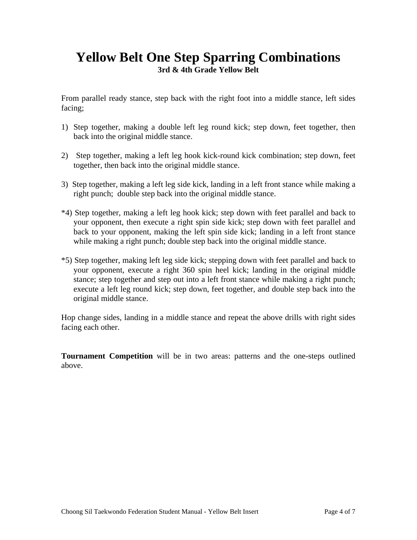### **Yellow Belt One Step Sparring Combinations 3rd & 4th Grade Yellow Belt**

From parallel ready stance, step back with the right foot into a middle stance, left sides facing;

- 1) Step together, making a double left leg round kick; step down, feet together, then back into the original middle stance.
- 2) Step together, making a left leg hook kick-round kick combination; step down, feet together, then back into the original middle stance.
- 3) Step together, making a left leg side kick, landing in a left front stance while making a right punch; double step back into the original middle stance.
- \*4) Step together, making a left leg hook kick; step down with feet parallel and back to your opponent, then execute a right spin side kick; step down with feet parallel and back to your opponent, making the left spin side kick; landing in a left front stance while making a right punch; double step back into the original middle stance.
- \*5) Step together, making left leg side kick; stepping down with feet parallel and back to your opponent, execute a right 360 spin heel kick; landing in the original middle stance; step together and step out into a left front stance while making a right punch; execute a left leg round kick; step down, feet together, and double step back into the original middle stance.

Hop change sides, landing in a middle stance and repeat the above drills with right sides facing each other.

**Tournament Competition** will be in two areas: patterns and the one-steps outlined above.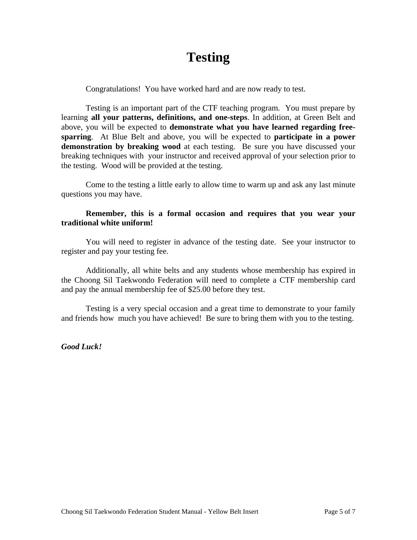## **Testing**

Congratulations! You have worked hard and are now ready to test.

Testing is an important part of the CTF teaching program. You must prepare by learning **all your patterns, definitions, and one-steps**. In addition, at Green Belt and above, you will be expected to **demonstrate what you have learned regarding freesparring**. At Blue Belt and above, you will be expected to **participate in a power demonstration by breaking wood** at each testing. Be sure you have discussed your breaking techniques with your instructor and received approval of your selection prior to the testing. Wood will be provided at the testing.

Come to the testing a little early to allow time to warm up and ask any last minute questions you may have.

### **Remember, this is a formal occasion and requires that you wear your traditional white uniform!**

You will need to register in advance of the testing date. See your instructor to register and pay your testing fee.

Additionally, all white belts and any students whose membership has expired in the Choong Sil Taekwondo Federation will need to complete a CTF membership card and pay the annual membership fee of \$25.00 before they test.

Testing is a very special occasion and a great time to demonstrate to your family and friends how much you have achieved! Be sure to bring them with you to the testing.

*Good Luck!*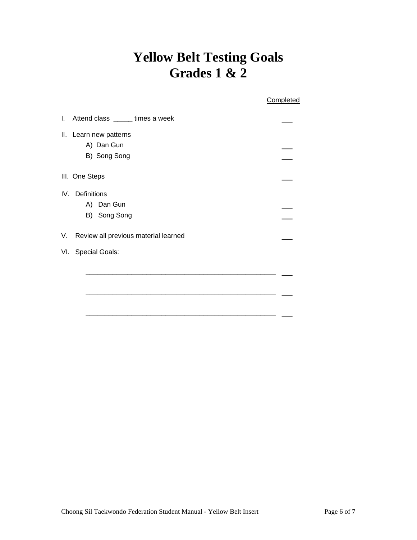# **Yellow Belt Testing Goals Grades 1 & 2**

|                                            | Completed |
|--------------------------------------------|-----------|
| Attend class ______ times a week<br>I.     |           |
| Ш.<br>Learn new patterns<br>A) Dan Gun     |           |
| B) Song Song                               |           |
| III. One Steps                             |           |
| IV. Definitions                            |           |
| A) Dan Gun                                 |           |
| B) Song Song                               |           |
| Review all previous material learned<br>V. |           |
| VI. Special Goals:                         |           |
|                                            |           |
|                                            |           |
|                                            |           |
|                                            |           |